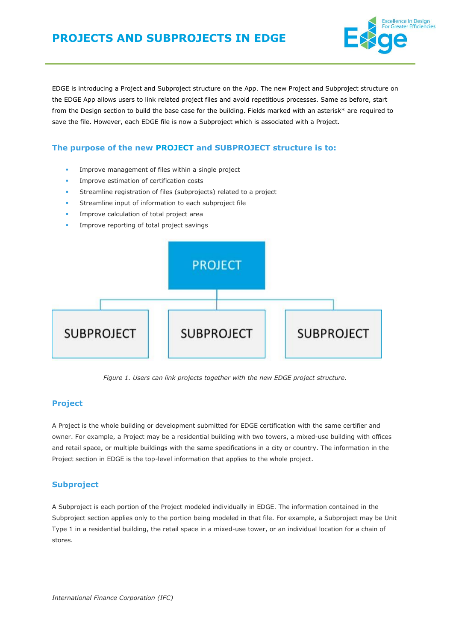

EDGE is introducing a Project and Subproject structure on the App. The new Project and Subproject structure on the EDGE App allows users to link related project files and avoid repetitious processes. Same as before, start from the Design section to build the base case for the building. Fields marked with an asterisk\* are required to save the file. However, each EDGE file is now a Subproject which is associated with a Project.

## **The purpose of the new PROJECT and SUBPROJECT structure is to:**

- Improve management of files within a single project
- Improve estimation of certification costs
- Streamline registration of files (subprojects) related to a project
- Streamline input of information to each subproject file
- Improve calculation of total project area
- Improve reporting of total project savings



*Figure 1. Users can link projects together with the new EDGE project structure.*

## **Project**

A Project is the whole building or development submitted for EDGE certification with the same certifier and owner. For example, a Project may be a residential building with two towers, a mixed-use building with offices and retail space, or multiple buildings with the same specifications in a city or country. The information in the Project section in EDGE is the top-level information that applies to the whole project.

#### **Subproject**

A Subproject is each portion of the Project modeled individually in EDGE. The information contained in the Subproject section applies only to the portion being modeled in that file. For example, a Subproject may be Unit Type 1 in a residential building, the retail space in a mixed-use tower, or an individual location for a chain of stores.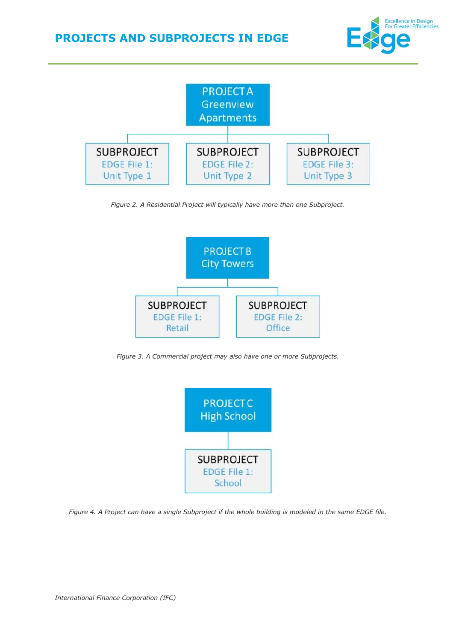



*Figure 2. A Residential Project will typically have more than one Subproject.*



*Figure 3. A Commercial project may also have one or more Subprojects.*



*Figure 4. A Project can have a single Subproject if the whole building is modeled in the same EDGE file.*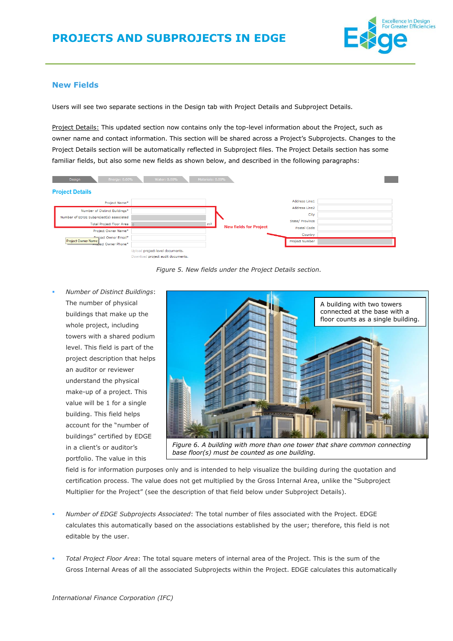

## **New Fields**

Users will see two separate sections in the Design tab with Project Details and Subproject Details.

Project Details: This updated section now contains only the top-level information about the Project, such as owner name and contact information. This section will be shared across a Project's Subprojects. Changes to the Project Details section will be automatically reflected in Subproject files. The Project Details section has some familiar fields, but also some new fields as shown below, and described in the following paragraphs:



*Figure 5. New fields under the Project Details section.*

▪ *Number of Distinct Buildings*: The number of physical buildings that make up the whole project, including towers with a shared podium level. This field is part of the project description that helps an auditor or reviewer understand the physical make-up of a project. This value will be 1 for a single building. This field helps account for the "number of buildings" certified by EDGE in a client's or auditor's portfolio. The value in this



*Figure 6. A building with more than one tower that share common connecting base floor(s) must be counted as one building.*

<span id="page-2-0"></span>field is for information purposes only and is intended to help visualize the building during the quotation and certification process. The value does not get multiplied by the Gross Internal Area, unlike the "Subproject Multiplier for the Project" (see the description of that field below under Subproject Details).

- *Number of EDGE Subprojects Associated*: The total number of files associated with the Project. EDGE calculates this automatically based on the associations established by the user; therefore, this field is not editable by the user.
- *Total Project Floor Area*: The total square meters of internal area of the Project. This is the sum of the Gross Internal Areas of all the associated Subprojects within the Project. EDGE calculates this automatically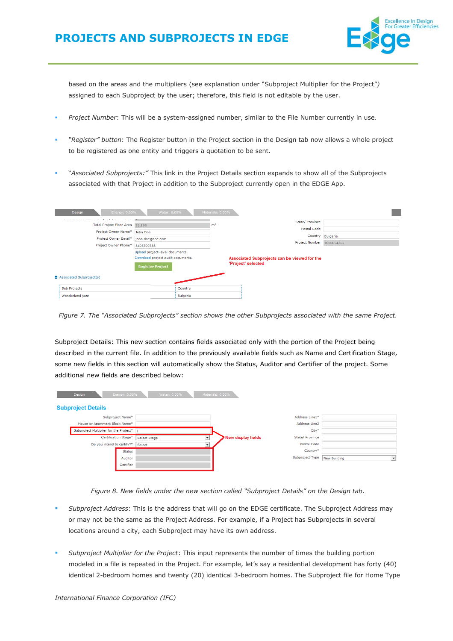

based on the areas and the multipliers (see explanation under "Subproject Multiplier for the Project"*)* assigned to each Subproject by the user; therefore, this field is not editable by the user.

- Project Number: This will be a system-assigned number, similar to the File Number currently in use.
- *"Register" button*: The Register button in the Project section in the Design tab now allows a whole project to be registered as one entity and triggers a quotation to be sent.
- "Associated Subprojects:" This link in the Project Details section expands to show all of the Subprojects associated with that Project in addition to the Subproject currently open in the EDGE App.

| Design<br>Energy: 0.00%         | Water: 0.00%                      | Materials: 0.00% |                                              |                  |
|---------------------------------|-----------------------------------|------------------|----------------------------------------------|------------------|
|                                 |                                   |                  | State/ Province                              |                  |
| Total Project Floor Area 31,198 |                                   | m <sup>2</sup>   |                                              |                  |
| Project Owner Name*             | John Doe                          |                  | Postal Code                                  |                  |
| Project Owner Email*            | john.doe@abc.com                  |                  |                                              | Country Bulgaria |
| Project Owner Phone*            |                                   |                  | Project Number                               | 1000054367       |
|                                 | 8495399388                        |                  |                                              |                  |
|                                 | Upload project-level documents.   |                  |                                              |                  |
|                                 | Download project audit documents. |                  | Associated Subprojects can be viewed for the |                  |
|                                 | <b>Register Project</b>           |                  | 'Project' selected                           |                  |
| Associated Subproject(s)        |                                   |                  |                                              |                  |
| Sub Projects                    | Country                           |                  |                                              |                  |
| Wonderland jazz                 | Bulgaria                          |                  |                                              |                  |

*Figure 7. The "Associated Subprojects" section shows the other Subprojects associated with the same Project.*

Subproject Details: This new section contains fields associated only with the portion of the Project being described in the current file. In addition to the previously available fields such as Name and Certification Stage, some new fields in this section will automatically show the Status, Auditor and Certifier of the project. Some additional new fields are described below:

| Design<br>Energy: 0.00%                  | Water: 0.00%                         | Materials: 0.00%                         |                 |                                |
|------------------------------------------|--------------------------------------|------------------------------------------|-----------------|--------------------------------|
| <b>Subproject Details</b>                |                                      |                                          |                 |                                |
| Subproject Name*                         |                                      |                                          | Address Line1*  |                                |
| House or Apartment Block Name*           |                                      |                                          | Address Line2   |                                |
| Subproject Multiplier for the Project* 1 |                                      |                                          | City*           |                                |
| Certification Stage*                     | Select Stage<br>$\blacktriangledown$ | $\blacktriangleright$ New display fields | State/ Province |                                |
| Do you intend to certify?*               | Select                               |                                          | Postal Code     |                                |
| <b>Status</b>                            |                                      |                                          | Country*        |                                |
| Auditor                                  |                                      |                                          | Subproject Type | New Building<br>$\overline{ }$ |
| Certifier                                |                                      |                                          |                 |                                |

*Figure 8. New fields under the new section called "Subproject Details" on the Design tab.*

- Subproject Address: This is the address that will go on the EDGE certificate. The Subproject Address may or may not be the same as the Project Address. For example, if a Project has Subprojects in several locations around a city, each Subproject may have its own address.
- Subproject Multiplier for the Project: This input represents the number of times the building portion modeled in a file is repeated in the Project. For example, let's say a residential development has forty (40) identical 2-bedroom homes and twenty (20) identical 3-bedroom homes. The Subproject file for Home Type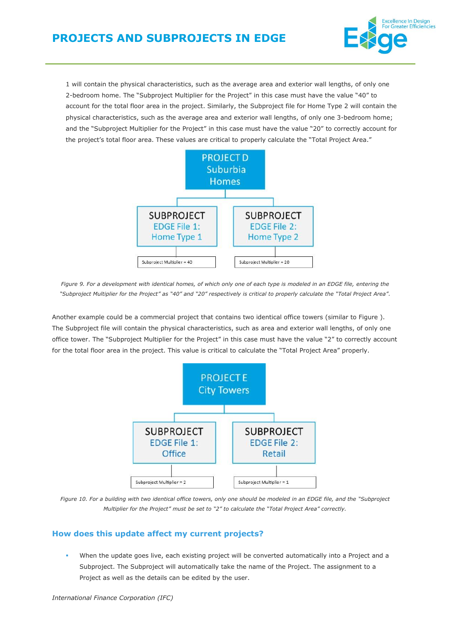

1 will contain the physical characteristics, such as the average area and exterior wall lengths, of only one 2-bedroom home. The "Subproject Multiplier for the Project" in this case must have the value "40" to account for the total floor area in the project. Similarly, the Subproject file for Home Type 2 will contain the physical characteristics, such as the average area and exterior wall lengths, of only one 3-bedroom home; and the "Subproject Multiplier for the Project" in this case must have the value "20" to correctly account for the project's total floor area. These values are critical to properly calculate the "Total Project Area."



*Figure 9. For a development with identical homes, of which only one of each type is modeled in an EDGE file, entering the*  "Subproject Multiplier for the Project" as "40" and "20" respectively is critical to properly calculate the "Total Project Area".

Another example could be a commercial project that contains two identical office towers (similar to [Figure \)](#page-2-0). The Subproject file will contain the physical characteristics, such as area and exterior wall lengths, of only one office tower. The "Subproject Multiplier for the Project" in this case must have the value "2" to correctly account for the total floor area in the project. This value is critical to calculate the "Total Project Area" properly.



*Figure 10. For a building with two identical office towers, only one should be modeled in an EDGE file, and the "Subproject Multiplier for the Project" must be set to "2" to calculate the "Total Project Area" correctly.*

# **How does this update affect my current projects?**

When the update goes live, each existing project will be converted automatically into a Project and a Subproject. The Subproject will automatically take the name of the Project. The assignment to a Project as well as the details can be edited by the user.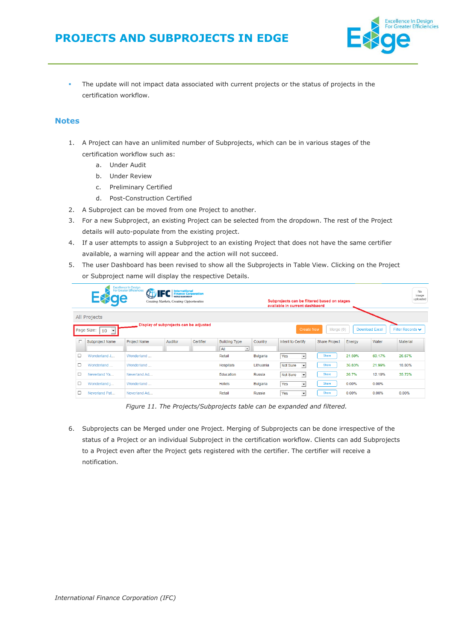

The update will not impact data associated with current projects or the status of projects in the certification workflow.

## **Notes**

- 1. A Project can have an unlimited number of Subprojects, which can be in various stages of the certification workflow such as:
	- a. Under Audit
	- b. Under Review
	- c. Preliminary Certified
	- d. Post-Construction Certified
- 2. A Subproject can be moved from one Project to another.
- 3. For a new Subproject, an existing Project can be selected from the dropdown. The rest of the Project details will auto-populate from the existing project.
- 4. If a user attempts to assign a Subproject to an existing Project that does not have the same certifier available, a warning will appear and the action will not succeed.
- 5. The user Dashboard has been revised to show all the Subprojects in Table View. Clicking on the Project or Subproject name will display the respective Details.

|   |                                          | <b>Excellence In Design<br/>For Greater Efficiencies</b><br><b>PA</b> | <b>FC</b> Finance Corporation<br>Creating Markets, Creating Opportunities |           |                      |               | Subprojects can be filtered based on stages<br>available in current dashbaord |                      |        |                       | No.<br>image<br>uploaded             |
|---|------------------------------------------|-----------------------------------------------------------------------|---------------------------------------------------------------------------|-----------|----------------------|---------------|-------------------------------------------------------------------------------|----------------------|--------|-----------------------|--------------------------------------|
|   | All Projects                             |                                                                       |                                                                           |           |                      |               |                                                                               |                      |        |                       |                                      |
|   | $\cdot$<br>Page Size:<br>10 <sup>1</sup> |                                                                       | Display of subprojects can be adjusted                                    |           |                      |               | <b>Create New</b>                                                             | Merge (0)            |        | <b>Download Excel</b> | Filter Records $\blacktriangleright$ |
|   | Subproject Name                          | Project Name                                                          | <b>Auditor</b>                                                            | Certifier | <b>Building Type</b> | Country       | Intent to Certify                                                             | <b>Share Project</b> | Energy | Water                 | Material                             |
|   |                                          |                                                                       |                                                                           |           | A  <br>ᆋ             |               |                                                                               |                      |        |                       |                                      |
| □ | Wonderland J                             | Wonderland                                                            |                                                                           |           | Retail               | Bulgaria      | $\overline{\phantom{a}}$<br>Yes                                               | Share                | 21.59% | 60.17%                | 26.67%                               |
| п | Wonderland                               | Wonderland                                                            |                                                                           |           | Hospitals            | Lithuania     | Not Sure<br>$\overline{\phantom{a}}$                                          | Share                | 36.83% | 21.99%                | 18.80%                               |
| □ | Neverland Ya                             | Neverland Ad                                                          |                                                                           |           | Education            | <b>Russia</b> | Not Sure<br>$\overline{\phantom{a}}$                                          | Share                | 26.7%  | 12.19%                | 35.72%                               |
| O | Wonderland j                             | Wonderland                                                            |                                                                           |           | Hotels               | Bulgaria      | $\overline{\phantom{a}}$<br>Yes                                               | Share                | 0.00%  | 0.00%                 |                                      |
| о | Neverland Pat                            | Neverland Ad                                                          |                                                                           |           | Retail               | Russia        | $\cdot$<br>Yes                                                                | Share                | 0.00%  | 0.00%                 | 0.00%                                |

*Figure 11. The Projects/Subprojects table can be expanded and filtered.*

6. Subprojects can be Merged under one Project. Merging of Subprojects can be done irrespective of the status of a Project or an individual Subproject in the certification workflow. Clients can add Subprojects to a Project even after the Project gets registered with the certifier. The certifier will receive a notification.